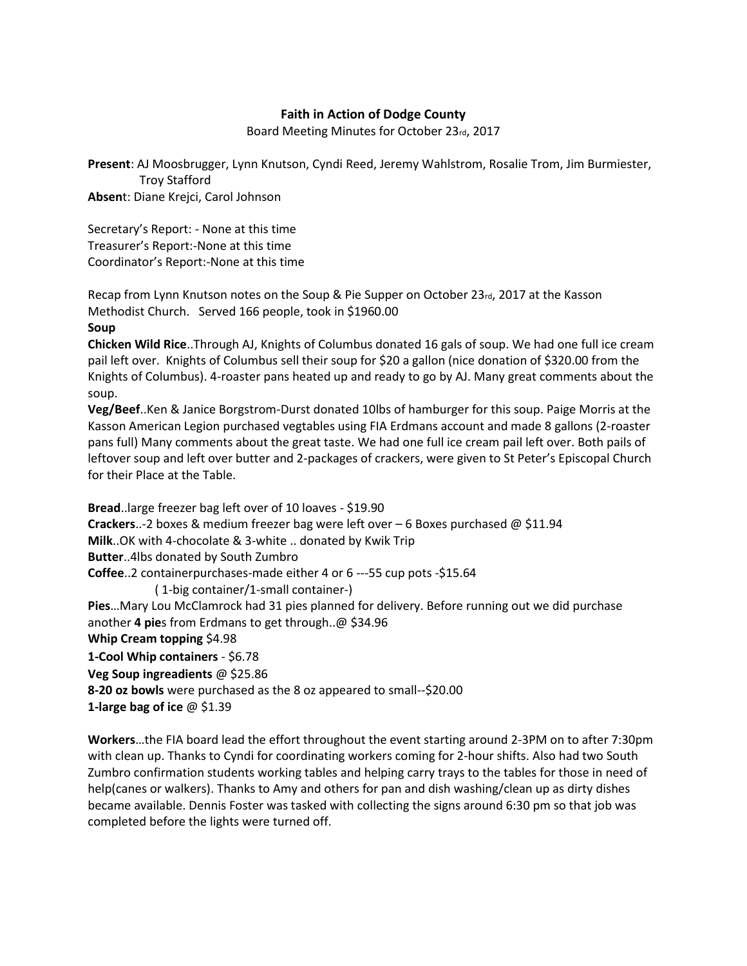## **Faith in Action of Dodge County**

Board Meeting Minutes for October 23rd, 2017

**Present**: AJ Moosbrugger, Lynn Knutson, Cyndi Reed, Jeremy Wahlstrom, Rosalie Trom, Jim Burmiester, Troy Stafford

**Absen**t: Diane Krejci, Carol Johnson

Secretary's Report: - None at this time Treasurer's Report:-None at this time Coordinator's Report:-None at this time

Recap from Lynn Knutson notes on the Soup & Pie Supper on October 23rd, 2017 at the Kasson Methodist Church. Served 166 people, took in \$1960.00

## **Soup**

**Chicken Wild Rice**..Through AJ, Knights of Columbus donated 16 gals of soup. We had one full ice cream pail left over. Knights of Columbus sell their soup for \$20 a gallon (nice donation of \$320.00 from the Knights of Columbus). 4-roaster pans heated up and ready to go by AJ. Many great comments about the soup.

**Veg/Beef**..Ken & Janice Borgstrom-Durst donated 10lbs of hamburger for this soup. Paige Morris at the Kasson American Legion purchased vegtables using FIA Erdmans account and made 8 gallons (2-roaster pans full) Many comments about the great taste. We had one full ice cream pail left over. Both pails of leftover soup and left over butter and 2-packages of crackers, were given to St Peter's Episcopal Church for their Place at the Table.

**Bread**..large freezer bag left over of 10 loaves - \$19.90 **Crackers**..-2 boxes & medium freezer bag were left over – 6 Boxes purchased @ \$11.94 **Milk**..OK with 4-chocolate & 3-white .. donated by Kwik Trip **Butter**..4lbs donated by South Zumbro **Coffee**..2 containerpurchases-made either 4 or 6 ---55 cup pots -\$15.64 ( 1-big container/1-small container-) **Pies**…Mary Lou McClamrock had 31 pies planned for delivery. Before running out we did purchase another **4 pie**s from Erdmans to get through..@ \$34.96 **Whip Cream topping** \$4.98 **1-Cool Whip containers** - \$6.78 **Veg Soup ingreadients** @ \$25.86 **8-20 oz bowls** were purchased as the 8 oz appeared to small--\$20.00

**1-large bag of ice** @ \$1.39

**Workers**…the FIA board lead the effort throughout the event starting around 2-3PM on to after 7:30pm with clean up. Thanks to Cyndi for coordinating workers coming for 2-hour shifts. Also had two South Zumbro confirmation students working tables and helping carry trays to the tables for those in need of help(canes or walkers). Thanks to Amy and others for pan and dish washing/clean up as dirty dishes became available. Dennis Foster was tasked with collecting the signs around 6:30 pm so that job was completed before the lights were turned off.